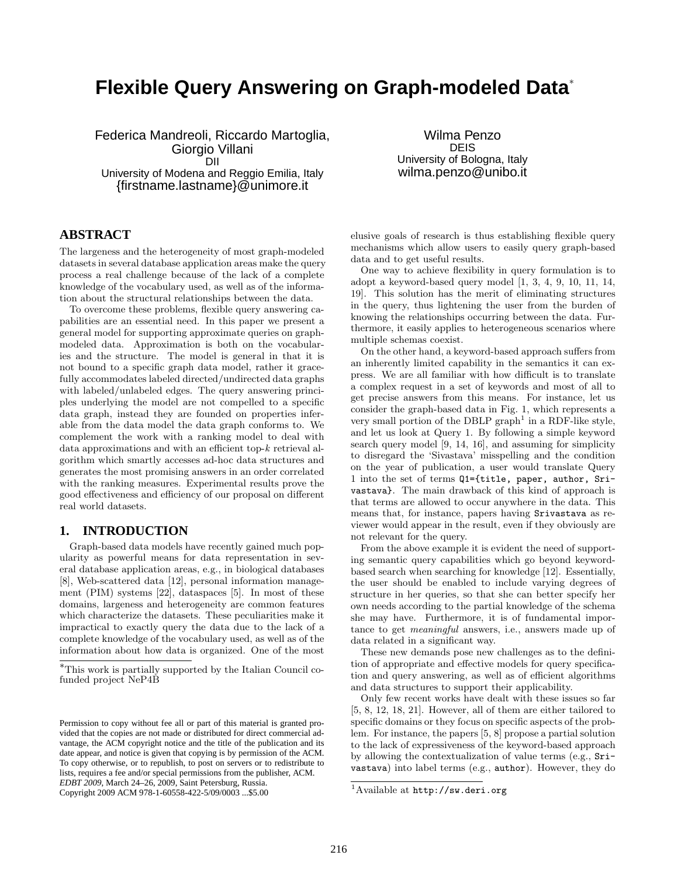# **Flexible Query Answering on Graph-modeled Data**<sup>∗</sup>

Federica Mandreoli, Riccardo Martoglia, Giorgio Villani DII University of Modena and Reggio Emilia, Italy {firstname.lastname}@unimore.it

Wilma Penzo DEIS University of Bologna, Italy wilma.penzo@unibo.it

# **ABSTRACT**

The largeness and the heterogeneity of most graph-modeled datasets in several database application areas make the query process a real challenge because of the lack of a complete knowledge of the vocabulary used, as well as of the information about the structural relationships between the data.

To overcome these problems, flexible query answering capabilities are an essential need. In this paper we present a general model for supporting approximate queries on graphmodeled data. Approximation is both on the vocabularies and the structure. The model is general in that it is not bound to a specific graph data model, rather it gracefully accommodates labeled directed/undirected data graphs with labeled/unlabeled edges. The query answering principles underlying the model are not compelled to a specific data graph, instead they are founded on properties inferable from the data model the data graph conforms to. We complement the work with a ranking model to deal with data approximations and with an efficient top-*k* retrieval algorithm which smartly accesses ad-hoc data structures and generates the most promising answers in an order correlated with the ranking measures. Experimental results prove the good effectiveness and efficiency of our proposal on different real world datasets.

#### **1. INTRODUCTION**

Graph-based data models have recently gained much popularity as powerful means for data representation in several database application areas, e.g., in biological databases [8], Web-scattered data [12], personal information management (PIM) systems [22], dataspaces [5]. In most of these domains, largeness and heterogeneity are common features which characterize the datasets. These peculiarities make it impractical to exactly query the data due to the lack of a complete knowledge of the vocabulary used, as well as of the information about how data is organized. One of the most

Copyright 2009 ACM 978-1-60558-422-5/09/0003 ...\$5.00

elusive goals of research is thus establishing flexible query mechanisms which allow users to easily query graph-based data and to get useful results.

One way to achieve flexibility in query formulation is to adopt a keyword-based query model [1, 3, 4, 9, 10, 11, 14, 19]. This solution has the merit of eliminating structures in the query, thus lightening the user from the burden of knowing the relationships occurring between the data. Furthermore, it easily applies to heterogeneous scenarios where multiple schemas coexist.

On the other hand, a keyword-based approach suffers from an inherently limited capability in the semantics it can express. We are all familiar with how difficult is to translate a complex request in a set of keywords and most of all to get precise answers from this means. For instance, let us consider the graph-based data in Fig. 1, which represents a very small portion of the DBLP graph<sup>1</sup> in a RDF-like style, and let us look at Query 1. By following a simple keyword search query model [9, 14, 16], and assuming for simplicity to disregard the 'Sivastava' misspelling and the condition on the year of publication, a user would translate Query 1 into the set of terms Q1={title, paper, author, Srivastava}. The main drawback of this kind of approach is that terms are allowed to occur anywhere in the data. This means that, for instance, papers having Srivastava as reviewer would appear in the result, even if they obviously are not relevant for the query.

From the above example it is evident the need of supporting semantic query capabilities which go beyond keywordbased search when searching for knowledge [12]. Essentially, the user should be enabled to include varying degrees of structure in her queries, so that she can better specify her own needs according to the partial knowledge of the schema she may have. Furthermore, it is of fundamental importance to get *meaningful* answers, i.e., answers made up of data related in a significant way.

These new demands pose new challenges as to the definition of appropriate and effective models for query specification and query answering, as well as of efficient algorithms and data structures to support their applicability.

Only few recent works have dealt with these issues so far [5, 8, 12, 18, 21]. However, all of them are either tailored to specific domains or they focus on specific aspects of the problem. For instance, the papers [5, 8] propose a partial solution to the lack of expressiveness of the keyword-based approach by allowing the contextualization of value terms (e.g., Srivastava) into label terms (e.g., author). However, they do

<sup>∗</sup>This work is partially supported by the Italian Council cofunded project NeP4B

Permission to copy without fee all or part of this material is granted provided that the copies are not made or distributed for direct commercial advantage, the ACM copyright notice and the title of the publication and its date appear, and notice is given that copying is by permission of the ACM. To copy otherwise, or to republish, to post on servers or to redistribute to lists, requires a fee and/or special permissions from the publisher, ACM. *EDBT 2009*, March 24–26, 2009, Saint Petersburg, Russia.

<sup>1</sup>Available at http://sw.deri.org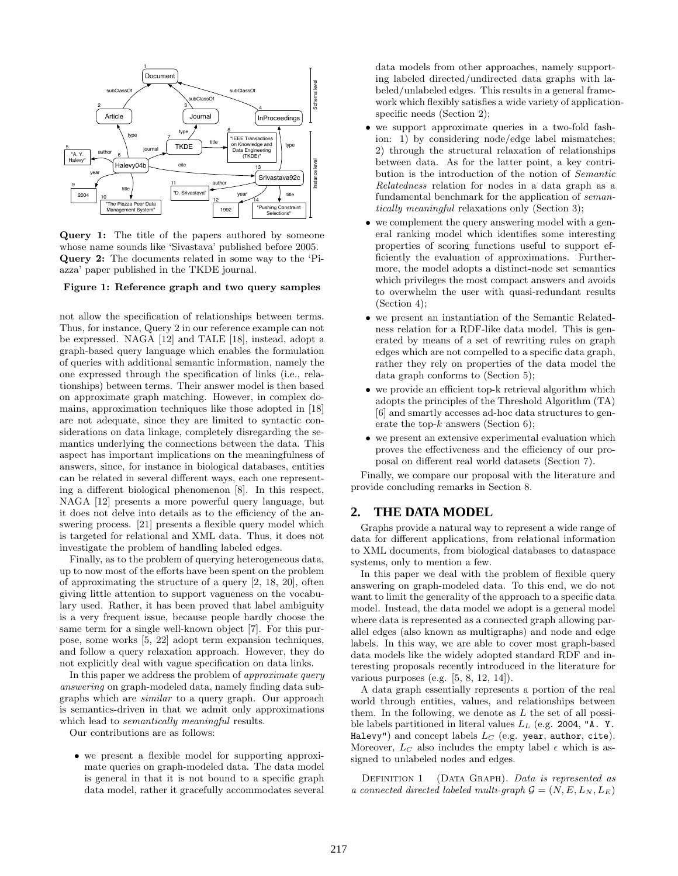

Query 1: The title of the papers authored by someone whose name sounds like 'Sivastava' published before 2005. Query 2: The documents related in some way to the 'Piazza' paper published in the TKDE journal.

#### Figure 1: Reference graph and two query samples

not allow the specification of relationships between terms. Thus, for instance, Query 2 in our reference example can not be expressed. NAGA [12] and TALE [18], instead, adopt a graph-based query language which enables the formulation of queries with additional semantic information, namely the one expressed through the specification of links (i.e., relationships) between terms. Their answer model is then based on approximate graph matching. However, in complex domains, approximation techniques like those adopted in [18] are not adequate, since they are limited to syntactic considerations on data linkage, completely disregarding the semantics underlying the connections between the data. This aspect has important implications on the meaningfulness of answers, since, for instance in biological databases, entities can be related in several different ways, each one representing a different biological phenomenon [8]. In this respect, NAGA [12] presents a more powerful query language, but it does not delve into details as to the efficiency of the answering process. [21] presents a flexible query model which is targeted for relational and XML data. Thus, it does not investigate the problem of handling labeled edges.

Finally, as to the problem of querying heterogeneous data, up to now most of the efforts have been spent on the problem of approximating the structure of a query [2, 18, 20], often giving little attention to support vagueness on the vocabulary used. Rather, it has been proved that label ambiguity is a very frequent issue, because people hardly choose the same term for a single well-known object [7]. For this purpose, some works [5, 22] adopt term expansion techniques, and follow a query relaxation approach. However, they do not explicitly deal with vague specification on data links.

In this paper we address the problem of *approximate query answering* on graph-modeled data, namely finding data subgraphs which are *similar* to a query graph. Our approach is semantics-driven in that we admit only approximations which lead to *semantically meaningful* results.

Our contributions are as follows:

• we present a flexible model for supporting approximate queries on graph-modeled data. The data model is general in that it is not bound to a specific graph data model, rather it gracefully accommodates several data models from other approaches, namely supporting labeled directed/undirected data graphs with labeled/unlabeled edges. This results in a general framework which flexibly satisfies a wide variety of applicationspecific needs (Section 2);

- we support approximate queries in a two-fold fashion: 1) by considering node/edge label mismatches; 2) through the structural relaxation of relationships between data. As for the latter point, a key contribution is the introduction of the notion of *Semantic Relatedness* relation for nodes in a data graph as a fundamental benchmark for the application of *semantically meaningful* relaxations only (Section 3);
- we complement the query answering model with a general ranking model which identifies some interesting properties of scoring functions useful to support efficiently the evaluation of approximations. Furthermore, the model adopts a distinct-node set semantics which privileges the most compact answers and avoids to overwhelm the user with quasi-redundant results (Section 4);
- we present an instantiation of the Semantic Relatedness relation for a RDF-like data model. This is generated by means of a set of rewriting rules on graph edges which are not compelled to a specific data graph, rather they rely on properties of the data model the data graph conforms to (Section 5);
- we provide an efficient top-k retrieval algorithm which adopts the principles of the Threshold Algorithm (TA) [6] and smartly accesses ad-hoc data structures to generate the top- $k$  answers (Section 6);
- we present an extensive experimental evaluation which proves the effectiveness and the efficiency of our proposal on different real world datasets (Section 7).

Finally, we compare our proposal with the literature and provide concluding remarks in Section 8.

# **2. THE DATA MODEL**

Graphs provide a natural way to represent a wide range of data for different applications, from relational information to XML documents, from biological databases to dataspace systems, only to mention a few.

In this paper we deal with the problem of flexible query answering on graph-modeled data. To this end, we do not want to limit the generality of the approach to a specific data model. Instead, the data model we adopt is a general model where data is represented as a connected graph allowing parallel edges (also known as multigraphs) and node and edge labels. In this way, we are able to cover most graph-based data models like the widely adopted standard RDF and interesting proposals recently introduced in the literature for various purposes (e.g. [5, 8, 12, 14]).

A data graph essentially represents a portion of the real world through entities, values, and relationships between them. In the following, we denote as  $L$  the set of all possible labels partitioned in literal values  $L<sub>L</sub>$  (e.g. 2004, "A. Y. Halevy") and concept labels  $L_C$  (e.g. year, author, cite). Moreover,  $L_C$  also includes the empty label  $\epsilon$  which is assigned to unlabeled nodes and edges.

Definition 1 (Data Graph). *Data is represented as a connected directed labeled multi-graph*  $\mathcal{G} = (N, E, L_N, L_E)$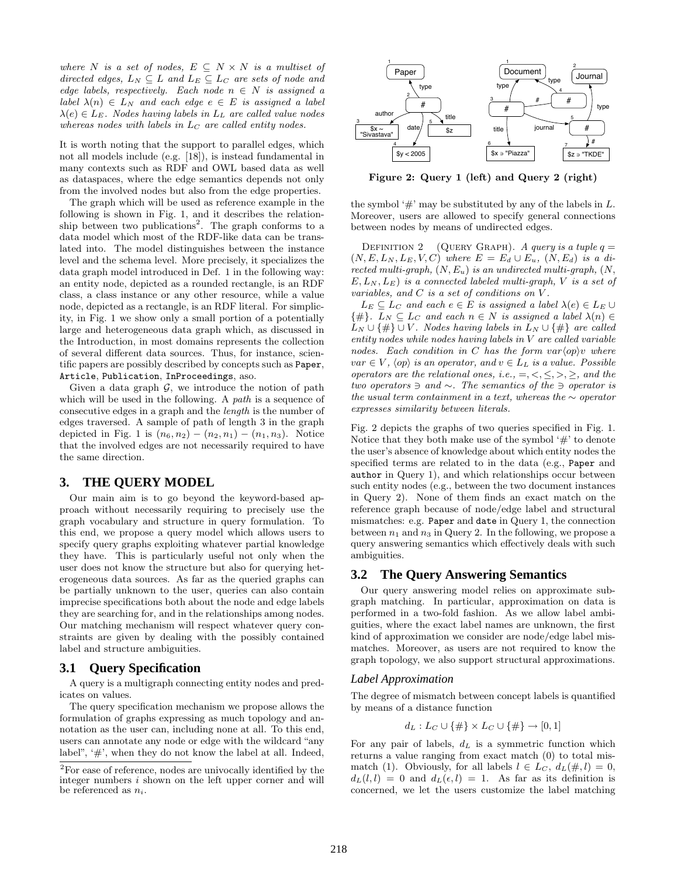*where*  $N$  *is a set of nodes,*  $E \subseteq N \times N$  *is a multiset of directed edges,*  $L_N \subseteq L$  *and*  $L_E \subseteq L_C$  *are sets of node and edge labels, respectively. Each node*  $n \in N$  *is assigned a label*  $\lambda(n) \in L_N$  *and each edge*  $e \in E$  *is assigned a label*  $\lambda(e) \in L_E$ *. Nodes having labels in*  $L_L$  *are called value nodes whereas nodes with labels in*  $L_C$  *are called entity nodes.* 

It is worth noting that the support to parallel edges, which not all models include (e.g. [18]), is instead fundamental in many contexts such as RDF and OWL based data as well as dataspaces, where the edge semantics depends not only from the involved nodes but also from the edge properties.

The graph which will be used as reference example in the following is shown in Fig. 1, and it describes the relationship between two publications<sup>2</sup>. The graph conforms to a data model which most of the RDF-like data can be translated into. The model distinguishes between the instance level and the schema level. More precisely, it specializes the data graph model introduced in Def. 1 in the following way: an entity node, depicted as a rounded rectangle, is an RDF class, a class instance or any other resource, while a value node, depicted as a rectangle, is an RDF literal. For simplicity, in Fig. 1 we show only a small portion of a potentially large and heterogeneous data graph which, as discussed in the Introduction, in most domains represents the collection of several different data sources. Thus, for instance, scientific papers are possibly described by concepts such as Paper, Article, Publication, InProceedings, aso.

Given a data graph  $\mathcal{G}$ , we introduce the notion of path which will be used in the following. A *path* is a sequence of consecutive edges in a graph and the *length* is the number of edges traversed. A sample of path of length 3 in the graph depicted in Fig. 1 is  $(n_6, n_2) - (n_2, n_1) - (n_1, n_3)$ . Notice that the involved edges are not necessarily required to have the same direction.

#### **3. THE QUERY MODEL**

Our main aim is to go beyond the keyword-based approach without necessarily requiring to precisely use the graph vocabulary and structure in query formulation. To this end, we propose a query model which allows users to specify query graphs exploiting whatever partial knowledge they have. This is particularly useful not only when the user does not know the structure but also for querying heterogeneous data sources. As far as the queried graphs can be partially unknown to the user, queries can also contain imprecise specifications both about the node and edge labels they are searching for, and in the relationships among nodes. Our matching mechanism will respect whatever query constraints are given by dealing with the possibly contained label and structure ambiguities.

# **3.1 Query Specification**

A query is a multigraph connecting entity nodes and predicates on values.

The query specification mechanism we propose allows the formulation of graphs expressing as much topology and annotation as the user can, including none at all. To this end, users can annotate any node or edge with the wildcard "any label",  $\#$ ', when they do not know the label at all. Indeed,



Figure 2: Query 1 (left) and Query 2 (right)

the symbol ' $\#$ ' may be substituted by any of the labels in L. Moreover, users are allowed to specify general connections between nodes by means of undirected edges.

DEFINITION 2 (QUERY GRAPH). *A query is a tuple*  $q =$  $(N, E, L_N, L_E, V, C)$  where  $E = E_d \cup E_u$ ,  $(N, E_d)$  *is a directed multi-graph,* (N, Eu) *is an undirected multi-graph,* (N, E, L<sup>N</sup> , LE) *is a connected labeled multi-graph,* V *is a set of variables, and* C *is a set of conditions on* V *.*

 $L_E \subseteq L_C$  *and each*  $e \in E$  *is assigned a label*  $\lambda(e) \in L_E \cup$  $\{\#\}.$  L<sub>N</sub>  $\subseteq$  L<sub>C</sub> and each  $n \in N$  is assigned a label  $\lambda(n) \in$  $L_N \cup \{\#\} \cup V$ *. Nodes having labels in*  $L_N \cup \{\#\}$  *are called entity nodes while nodes having labels in* V *are called variable nodes.* Each condition in C has the form  $var\langle op \rangle v$  where  $var \in V$ ,  $\langle op \rangle$  *is an operator, and*  $v \in L$  *is a value. Possible operators are the relational ones, i.e.,*  $=$ ,  $\leq$ ,  $\leq$ ,  $\geq$ ,  $\geq$ *, and the two operators* ∋ *and* ∼*. The semantics of the* ∋ *operator is the usual term containment in a text, whereas the* ∼ *operator expresses similarity between literals.*

Fig. 2 depicts the graphs of two queries specified in Fig. 1. Notice that they both make use of the symbol  $\#$  to denote the user's absence of knowledge about which entity nodes the specified terms are related to in the data (e.g., Paper and author in Query 1), and which relationships occur between such entity nodes (e.g., between the two document instances in Query 2). None of them finds an exact match on the reference graph because of node/edge label and structural mismatches: e.g. Paper and date in Query 1, the connection between  $n_1$  and  $n_3$  in Query 2. In the following, we propose a query answering semantics which effectively deals with such ambiguities.

#### **3.2 The Query Answering Semantics**

Our query answering model relies on approximate subgraph matching. In particular, approximation on data is performed in a two-fold fashion. As we allow label ambiguities, where the exact label names are unknown, the first kind of approximation we consider are node/edge label mismatches. Moreover, as users are not required to know the graph topology, we also support structural approximations.

#### *Label Approximation*

The degree of mismatch between concept labels is quantified by means of a distance function

$$
d_L: L_C \cup \{\#\} \times L_C \cup \{\#\} \to [0,1]
$$

For any pair of labels,  $d<sub>L</sub>$  is a symmetric function which returns a value ranging from exact match (0) to total mismatch (1). Obviously, for all labels  $l \in L_C$ ,  $d_L(\#, l) = 0$ ,  $d_L(l, l) = 0$  and  $d_L(\epsilon, l) = 1$ . As far as its definition is concerned, we let the users customize the label matching

 $2$ For ease of reference, nodes are univocally identified by the integer numbers  $i$  shown on the left upper corner and will be referenced as  $n_i$ .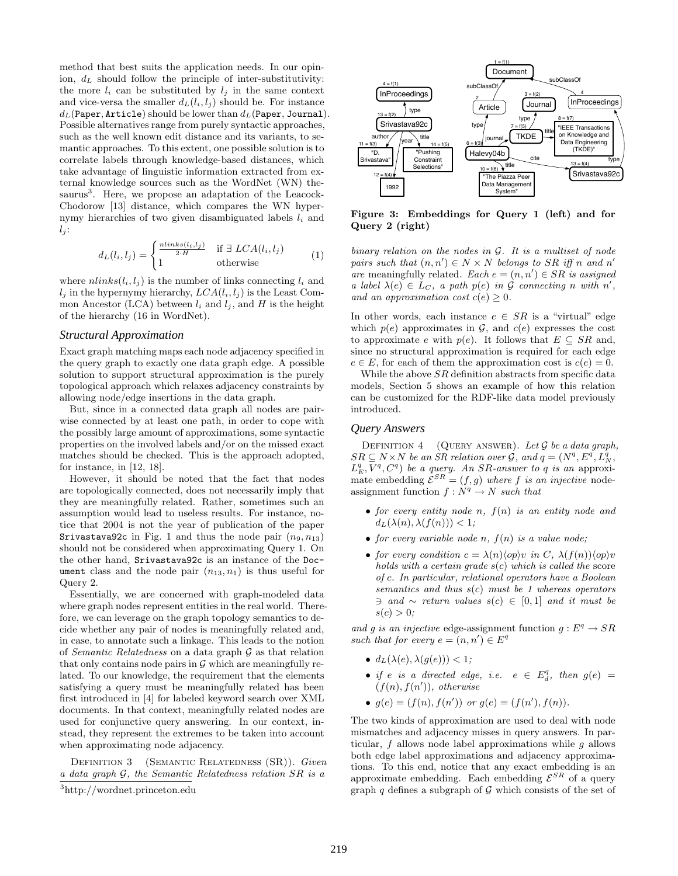method that best suits the application needs. In our opinion,  $d_L$  should follow the principle of inter-substitutivity: the more  $l_i$  can be substituted by  $l_i$  in the same context and vice-versa the smaller  $d_L(l_i, l_j)$  should be. For instance  $d_L$ (Paper, Article) should be lower than  $d_L$ (Paper, Journal). Possible alternatives range from purely syntactic approaches, such as the well known edit distance and its variants, to semantic approaches. To this extent, one possible solution is to correlate labels through knowledge-based distances, which take advantage of linguistic information extracted from external knowledge sources such as the WordNet (WN) thesaurus<sup>3</sup>. Here, we propose an adaptation of the Leacock-Chodorow [13] distance, which compares the WN hypernymy hierarchies of two given disambiguated labels  $l_i$  and  $l_j$ :

$$
d_L(l_i, l_j) = \begin{cases} \frac{n \cdot \text{links}(l_i, l_j)}{2 \cdot H} & \text{if } \exists \text{ LCA}(l_i, l_j) \\ 1 & \text{otherwise} \end{cases} \tag{1}
$$

where  $nlinks(l_i, l_j)$  is the number of links connecting  $l_i$  and  $l_j$  in the hypernymy hierarchy,  $LCA(l_i, l_j)$  is the Least Common Ancestor (LCA) between  $l_i$  and  $l_j$ , and H is the height of the hierarchy (16 in WordNet).

#### *Structural Approximation*

Exact graph matching maps each node adjacency specified in the query graph to exactly one data graph edge. A possible solution to support structural approximation is the purely topological approach which relaxes adjacency constraints by allowing node/edge insertions in the data graph.

But, since in a connected data graph all nodes are pairwise connected by at least one path, in order to cope with the possibly large amount of approximations, some syntactic properties on the involved labels and/or on the missed exact matches should be checked. This is the approach adopted, for instance, in [12, 18].

However, it should be noted that the fact that nodes are topologically connected, does not necessarily imply that they are meaningfully related. Rather, sometimes such an assumption would lead to useless results. For instance, notice that 2004 is not the year of publication of the paper Srivastava92c in Fig. 1 and thus the node pair  $(n_9, n_{13})$ should not be considered when approximating Query 1. On the other hand, Srivastava92c is an instance of the Document class and the node pair  $(n_{13}, n_1)$  is thus useful for Query 2.

Essentially, we are concerned with graph-modeled data where graph nodes represent entities in the real world. Therefore, we can leverage on the graph topology semantics to decide whether any pair of nodes is meaningfully related and, in case, to annotate such a linkage. This leads to the notion of *Semantic Relatedness* on a data graph G as that relation that only contains node pairs in  $G$  which are meaningfully related. To our knowledge, the requirement that the elements satisfying a query must be meaningfully related has been first introduced in [4] for labeled keyword search over XML documents. In that context, meaningfully related nodes are used for conjunctive query answering. In our context, instead, they represent the extremes to be taken into account when approximating node adjacency.

Definition 3 (Semantic Relatedness (SR)). *Given a data graph* G*, the Semantic Relatedness relation* SR *is a*



Figure 3: Embeddings for Query 1 (left) and for Query 2 (right)

*binary relation on the nodes in* G*. It is a multiset of node pairs such that*  $(n, n') \in N \times N$  *belongs to* SR *iff* n and n' *are* meaningfully related. Each  $e = (n, n') \in SR$  *is assigned a label*  $\lambda(e) \in L_C$ , *a path*  $p(e)$  *in*  $\mathcal G$  *connecting n with*  $n'$ , *and an approximation cost*  $c(e) \geq 0$ *.* 

In other words, each instance  $e \in SR$  is a "virtual" edge which  $p(e)$  approximates in  $\mathcal{G}$ , and  $c(e)$  expresses the cost to approximate e with  $p(e)$ . It follows that  $E \subseteq SR$  and, since no structural approximation is required for each edge  $e \in E$ , for each of them the approximation cost is  $c(e) = 0$ .

While the above *SR* definition abstracts from specific data models, Section 5 shows an example of how this relation can be customized for the RDF-like data model previously introduced.

# *Query Answers*

Definition 4 (Query answer). *Let* G *be a data graph,*  $SR \subseteq N \times N$  be an SR relation over  $\mathcal{G}$ , and  $q = (N^q, E^q, L_N^{\hat{q}})$  $L_E^q$ ,  $\overline{V}^q$ ,  $C^q$ ) *be a query. An SR-answer to q is an approxi*mate embedding  $\mathcal{E}^{SR} = (f, g)$  where f is an injective nodeassignment function  $f : N^q \to N$  *such that* 

- *for every entity node* n*,* f(n) *is an entity node and*  $d_L(\lambda(n), \lambda(f(n))) < 1;$
- *for every variable node*  $n$ *,*  $f(n)$  *is a value node;*
- *for every condition*  $c = \lambda(n) \langle op \rangle v$  *in* C,  $\lambda(f(n)) \langle op \rangle v$ *holds with a certain grade* s(c) *which is called the* score *of* c*. In particular, relational operators have a Boolean semantics and thus* s(c) *must be 1 whereas operators* ∋ *and* ∼ *return values* s(c) ∈ [0, 1] *and it must be*  $s(c) > 0$ ;

*and g is an injective* edge-assignment function  $g : E^q \to SR$ such that for every  $e = (n, n') \in E^q$ 

- $\bullet$   $d_L(\lambda(e), \lambda(q(e))) < 1$ ;
- *if*  $e$  *is a directed edge, i.e.*  $e \in E_d^q$ *, then*  $g(e) =$  $(f(n), f(n'))$ *, otherwise*
- $g(e) = (f(n), f(n'))$  or  $g(e) = (f(n'), f(n))$ *.*

The two kinds of approximation are used to deal with node mismatches and adjacency misses in query answers. In particular, f allows node label approximations while g allows both edge label approximations and adjacency approximations. To this end, notice that any exact embedding is an approximate embedding. Each embedding  $\mathcal{E}^{SR}$  of a query graph  $q$  defines a subgraph of  $\mathcal G$  which consists of the set of

<sup>3</sup>http://wordnet.princeton.edu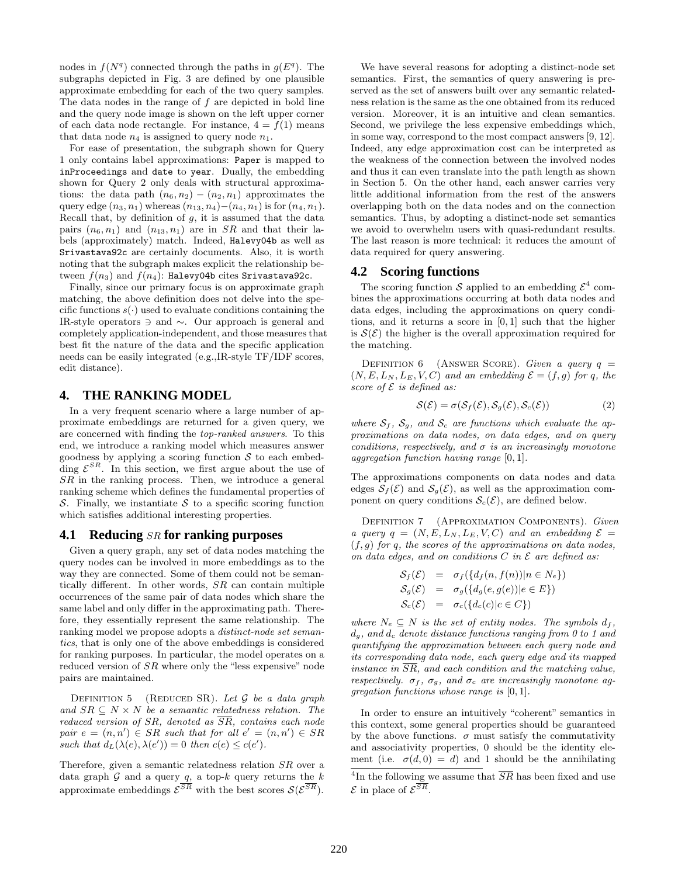nodes in  $f(N^q)$  connected through the paths in  $g(E^q)$ . The subgraphs depicted in Fig. 3 are defined by one plausible approximate embedding for each of the two query samples. The data nodes in the range of f are depicted in bold line and the query node image is shown on the left upper corner of each data node rectangle. For instance,  $4 = f(1)$  means that data node  $n_4$  is assigned to query node  $n_1$ .

For ease of presentation, the subgraph shown for Query 1 only contains label approximations: Paper is mapped to inProceedings and date to year. Dually, the embedding shown for Query 2 only deals with structural approximations: the data path  $(n_6, n_2) - (n_2, n_1)$  approximates the query edge  $(n_3, n_1)$  whereas  $(n_{13}, n_4) - (n_4, n_1)$  is for  $(n_4, n_1)$ . Recall that, by definition of  $g$ , it is assumed that the data pairs  $(n_6, n_1)$  and  $(n_{13}, n_1)$  are in SR and that their labels (approximately) match. Indeed, Halevy04b as well as Srivastava92c are certainly documents. Also, it is worth noting that the subgraph makes explicit the relationship between  $f(n_3)$  and  $f(n_4)$ : Halevy04b cites Srivastava92c.

Finally, since our primary focus is on approximate graph matching, the above definition does not delve into the specific functions  $s(\cdot)$  used to evaluate conditions containing the IR-style operators ∋ and ∼. Our approach is general and completely application-independent, and those measures that best fit the nature of the data and the specific application needs can be easily integrated (e.g.,IR-style TF/IDF scores, edit distance).

### **4. THE RANKING MODEL**

In a very frequent scenario where a large number of approximate embeddings are returned for a given query, we are concerned with finding the *top-ranked answers*. To this end, we introduce a ranking model which measures answer goodness by applying a scoring function  $S$  to each embedding  $\mathcal{E}^{SR}$ . In this section, we first argue about the use of  $SR$  in the ranking process. Then, we introduce a general ranking scheme which defines the fundamental properties of S. Finally, we instantiate  $S$  to a specific scoring function which satisfies additional interesting properties.

### **4.1 Reducing** SR **for ranking purposes**

Given a query graph, any set of data nodes matching the query nodes can be involved in more embeddings as to the way they are connected. Some of them could not be semantically different. In other words, SR can contain multiple occurrences of the same pair of data nodes which share the same label and only differ in the approximating path. Therefore, they essentially represent the same relationship. The ranking model we propose adopts a *distinct-node set semantics*, that is only one of the above embeddings is considered for ranking purposes. In particular, the model operates on a reduced version of SR where only the "less expensive" node pairs are maintained.

Definition 5 (Reduced SR). *Let* G *be a data graph and*  $SR \subset N \times N$  *be a semantic relatedness relation. The reduced version of* SR*, denoted as* SR*, contains each node*  $pair e = (n, n') \in SR \text{ such that for all } e' = (n, n') \in SR$ such that  $d_L(\lambda(e), \lambda(e')) = 0$  then  $c(e) \leq c(e')$ .

Therefore, given a semantic relatedness relation SR over a data graph  $G$  and a query  $q$ , a top-k query returns the k approximate embeddings  $\mathcal{E}^{SR}$  with the best scores  $\mathcal{S}(\mathcal{E}^{SR})$ .

We have several reasons for adopting a distinct-node set semantics. First, the semantics of query answering is preserved as the set of answers built over any semantic relatedness relation is the same as the one obtained from its reduced version. Moreover, it is an intuitive and clean semantics. Second, we privilege the less expensive embeddings which, in some way, correspond to the most compact answers [9, 12]. Indeed, any edge approximation cost can be interpreted as the weakness of the connection between the involved nodes and thus it can even translate into the path length as shown in Section 5. On the other hand, each answer carries very little additional information from the rest of the answers overlapping both on the data nodes and on the connection semantics. Thus, by adopting a distinct-node set semantics we avoid to overwhelm users with quasi-redundant results. The last reason is more technical: it reduces the amount of data required for query answering.

#### **4.2 Scoring functions**

The scoring function S applied to an embedding  $\mathcal{E}^4$  combines the approximations occurring at both data nodes and data edges, including the approximations on query conditions, and it returns a score in [0, 1] such that the higher is  $\mathcal{S}(\mathcal{E})$  the higher is the overall approximation required for the matching.

DEFINITION  $6$  (ANSWER SCORE). *Given a query*  $q =$  $(N, E, L_N, L_E, V, C)$  *and an embedding*  $\mathcal{E} = (f, g)$  *for* q*, the score of*  $\mathcal E$  *is defined as:* 

$$
\mathcal{S}(\mathcal{E}) = \sigma(\mathcal{S}_f(\mathcal{E}), \mathcal{S}_g(\mathcal{E}), \mathcal{S}_c(\mathcal{E}))
$$
\n(2)

where  $S_f$ ,  $S_g$ , and  $S_c$  are functions which evaluate the ap*proximations on data nodes, on data edges, and on query conditions, respectively, and*  $\sigma$  *is an increasingly monotone aggregation function having range* [0, 1]*.*

The approximations components on data nodes and data edges  $S_f(\mathcal{E})$  and  $S_g(\mathcal{E})$ , as well as the approximation component on query conditions  $\mathcal{S}_c(\mathcal{E})$ , are defined below.

Definition 7 (Approximation Components). *Given a query*  $q = (N, E, L_N, L_E, V, C)$  *and an embedding*  $\mathcal{E}$ (f, g) *for* q*, the scores of the approximations on data nodes, on data edges, and on conditions* C *in* E *are defined as:*

$$
S_f(\mathcal{E}) = \sigma_f(\{d_f(n, f(n)) | n \in N_e\})
$$
  
\n
$$
S_g(\mathcal{E}) = \sigma_g(\{d_g(e, g(e)) | e \in E\})
$$
  
\n
$$
S_c(\mathcal{E}) = \sigma_c(\{d_c(c) | c \in C\})
$$

*where*  $N_e \subseteq N$  *is the set of entity nodes. The symbols*  $d_f$ ,  $d_q$ , and  $d_c$  denote distance functions ranging from 0 to 1 and *quantifying the approximation between each query node and its corresponding data node, each query edge and its mapped instance in* SR*, and each condition and the matching value, respectively.*  $\sigma_f$ ,  $\sigma_g$ , and  $\sigma_c$  are increasingly monotone ag*gregation functions whose range is* [0, 1]*.*

In order to ensure an intuitively "coherent" semantics in this context, some general properties should be guaranteed by the above functions.  $\sigma$  must satisfy the commutativity and associativity properties, 0 should be the identity element (i.e.  $\sigma(d, 0) = d$ ) and 1 should be the annihilating

<sup>&</sup>lt;sup>4</sup>In the following we assume that  $\overline{SR}$  has been fixed and use  $\mathcal E$  in place of  $\mathcal E^{SR}$ .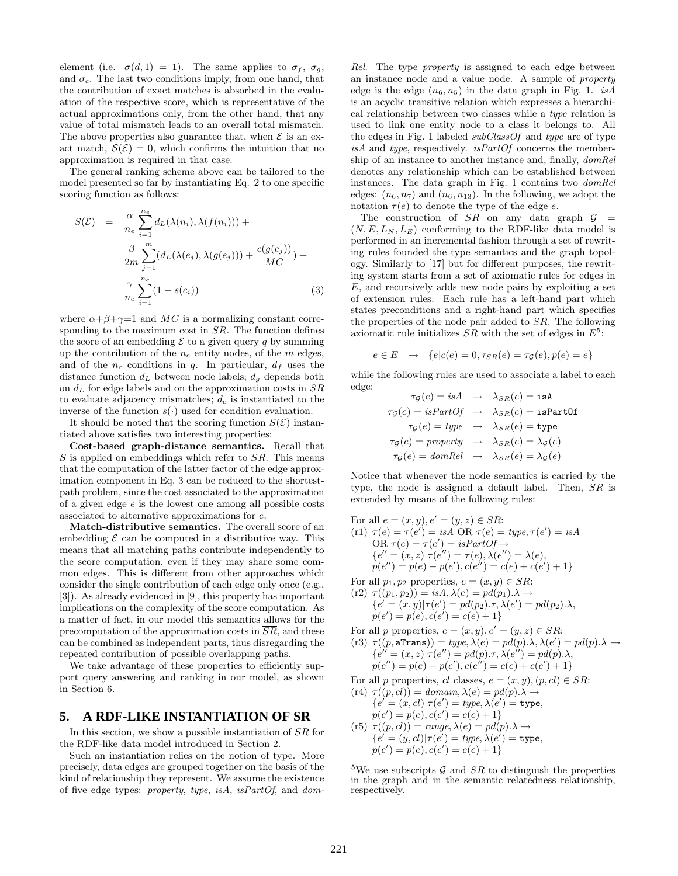element (i.e.  $\sigma(d, 1) = 1$ ). The same applies to  $\sigma_f$ ,  $\sigma_q$ , and  $\sigma_c$ . The last two conditions imply, from one hand, that the contribution of exact matches is absorbed in the evaluation of the respective score, which is representative of the actual approximations only, from the other hand, that any value of total mismatch leads to an overall total mismatch. The above properties also guarantee that, when  $\mathcal E$  is an exact match,  $\mathcal{S}(\mathcal{E})=0$ , which confirms the intuition that no approximation is required in that case.

The general ranking scheme above can be tailored to the model presented so far by instantiating Eq. 2 to one specific scoring function as follows:

$$
S(\mathcal{E}) = \frac{\alpha}{n_e} \sum_{i=1}^{n_e} d_L(\lambda(n_i), \lambda(f(n_i))) +
$$
  

$$
\frac{\beta}{2m} \sum_{j=1}^{m} (d_L(\lambda(e_j), \lambda(g(e_j))) + \frac{c(g(e_j))}{MC}) +
$$
  

$$
\frac{\gamma}{n_c} \sum_{i=1}^{n_c} (1 - s(c_i))
$$
 (3)

where  $\alpha + \beta + \gamma = 1$  and MC is a normalizing constant corresponding to the maximum cost in  $SR$ . The function defines the score of an embedding  $\mathcal E$  to a given query q by summing up the contribution of the  $n_e$  entity nodes, of the m edges, and of the  $n_c$  conditions in q. In particular,  $d_f$  uses the distance function  $d_L$  between node labels;  $d_g$  depends both on  $d<sub>L</sub>$  for edge labels and on the approximation costs in  $SR$ to evaluate adjacency mismatches;  $d_c$  is instantiated to the inverse of the function  $s(\cdot)$  used for condition evaluation.

It should be noted that the scoring function  $S(\mathcal{E})$  instantiated above satisfies two interesting properties:

Cost-based graph-distance semantics. Recall that S is applied on embeddings which refer to  $\overline{SR}$ . This means that the computation of the latter factor of the edge approximation component in Eq. 3 can be reduced to the shortestpath problem, since the cost associated to the approximation of a given edge e is the lowest one among all possible costs associated to alternative approximations for e.

Match-distributive semantics. The overall score of an embedding  $\mathcal E$  can be computed in a distributive way. This means that all matching paths contribute independently to the score computation, even if they may share some common edges. This is different from other approaches which consider the single contribution of each edge only once (e.g., [3]). As already evidenced in [9], this property has important implications on the complexity of the score computation. As a matter of fact, in our model this semantics allows for the precomputation of the approximation costs in  $\overline{SR}$ , and these can be combined as independent parts, thus disregarding the repeated contribution of possible overlapping paths.

We take advantage of these properties to efficiently support query answering and ranking in our model, as shown in Section 6.

#### **5. A RDF-LIKE INSTANTIATION OF SR**

In this section, we show a possible instantiation of SR for the RDF-like data model introduced in Section 2.

Such an instantiation relies on the notion of type. More precisely, data edges are grouped together on the basis of the kind of relationship they represent. We assume the existence of five edge types: *property*, *type*, *isA*, *isPartOf*, and *dom-*

*Rel*. The type *property* is assigned to each edge between an instance node and a value node. A sample of *property* edge is the edge  $(n_6, n_5)$  in the data graph in Fig. 1. *isA* is an acyclic transitive relation which expresses a hierarchical relationship between two classes while a *type* relation is used to link one entity node to a class it belongs to. All the edges in Fig. 1 labeled *subClassOf* and *type* are of type *isA* and *type*, respectively. *isPartOf* concerns the membership of an instance to another instance and, finally, *domRel* denotes any relationship which can be established between instances. The data graph in Fig. 1 contains two *domRel* edges:  $(n_6, n_7)$  and  $(n_6, n_{13})$ . In the following, we adopt the notation  $\tau(e)$  to denote the type of the edge e.

The construction of SR on any data graph  $\mathcal{G}$  =  $(N, E, L_N, L_E)$  conforming to the RDF-like data model is performed in an incremental fashion through a set of rewriting rules founded the type semantics and the graph topology. Similarly to [17] but for different purposes, the rewriting system starts from a set of axiomatic rules for edges in  $E$ , and recursively adds new node pairs by exploiting a set of extension rules. Each rule has a left-hand part which states preconditions and a right-hand part which specifies the properties of the node pair added to SR. The following axiomatic rule initializes  $SR$  with the set of edges in  $E^5$ :

$$
e \in E \rightarrow \{e | c(e) = 0, \tau_{SR}(e) = \tau_{\mathcal{G}}(e), p(e) = e\}
$$

while the following rules are used to associate a label to each edge:

$$
\tau_{\mathcal{G}}(e) = isA \rightarrow \lambda_{SR}(e) = \text{isA}
$$
\n
$$
\tau_{\mathcal{G}}(e) = isPartOf \rightarrow \lambda_{SR}(e) = \text{isPartOf}
$$
\n
$$
\tau_{\mathcal{G}}(e) = type \rightarrow \lambda_{SR}(e) = \text{type}
$$
\n
$$
\tau_{\mathcal{G}}(e) = property \rightarrow \lambda_{SR}(e) = \lambda_{\mathcal{G}}(e)
$$
\n
$$
\tau_{\mathcal{G}}(e) = domRel \rightarrow \lambda_{SR}(e) = \lambda_{\mathcal{G}}(e)
$$

Notice that whenever the node semantics is carried by the type, the node is assigned a default label. Then, SR is extended by means of the following rules:

For all 
$$
e = (x, y), e' = (y, z) \in SR
$$
:  
\n(r1)  $\tau(e) = \tau(e') = isA$  OR  $\tau(e) = type, \tau(e') = isA$   
\nOR  $\tau(e) = \tau(e') = isPartOf \rightarrow$   
\n $\{e'' = (x, z)|\tau(e'') = \tau(e), \lambda(e'') = \lambda(e),$   
\n $p(e'') = p(e) - p(e'), c(e'') = c(e) + c(e') + 1\}$ 

For all  $p_1, p_2$  properties,  $e = (x, y) \in SR$ :

 $(r2) \tau((p_1, p_2)) = isA, \lambda(e) = pd(p_1).\lambda \rightarrow$ { $e' = (x, y) | \tau(e') = pd(p_2) \cdot \tau, \lambda(e') = pd(p_2) \cdot \lambda,$  $p(e') = p(e), c(e') = c(e) + 1$ 

For all 
$$
p
$$
 properties,  $e = (x, y), e' = (y, z) \in SR$ :  
\n(r3)  $\tau((p, \text{aTrans})) = type, \lambda(e) = pd(p).\lambda, \lambda(e') = pd(p).\lambda \rightarrow$   
\n $\{e'' = (x, z)|\tau(e'') = pd(p).\tau, \lambda(e'') = pd(p).\lambda,$   
\n $p(e'') = p(e) - p(e'), c(e'') = c(e) + c(e') + 1\}$ 

For all p properties, cl classes,  $e = (x, y), (p, cl) \in SR$ :

$$
\begin{array}{c} \n\text{(r4)} \ \tau((p,cl)) = \text{domain}, \lambda(e) = \text{pd}(p).\lambda \rightarrow \\ \n\{e' = (x,cl)|\tau(e') = \text{type}, \lambda(e') = \text{type}, \\ \n\text{p}(e') = \text{p}(e), \text{c}(e') = \text{c}(e) + 1 \}\n\end{array}
$$

 $(r5) \tau((p, cl)) = range, \lambda(e) = pd(p).\lambda \rightarrow$  ${e' = (y, cl)|\tau(e') = type, \lambda(e') = \text{type},}$  $p(e') = p(e), c(e') = c(e) + 1$ 

<sup>5</sup>We use subscripts  $G$  and  $SR$  to distinguish the properties in the graph and in the semantic relatedness relationship, respectively.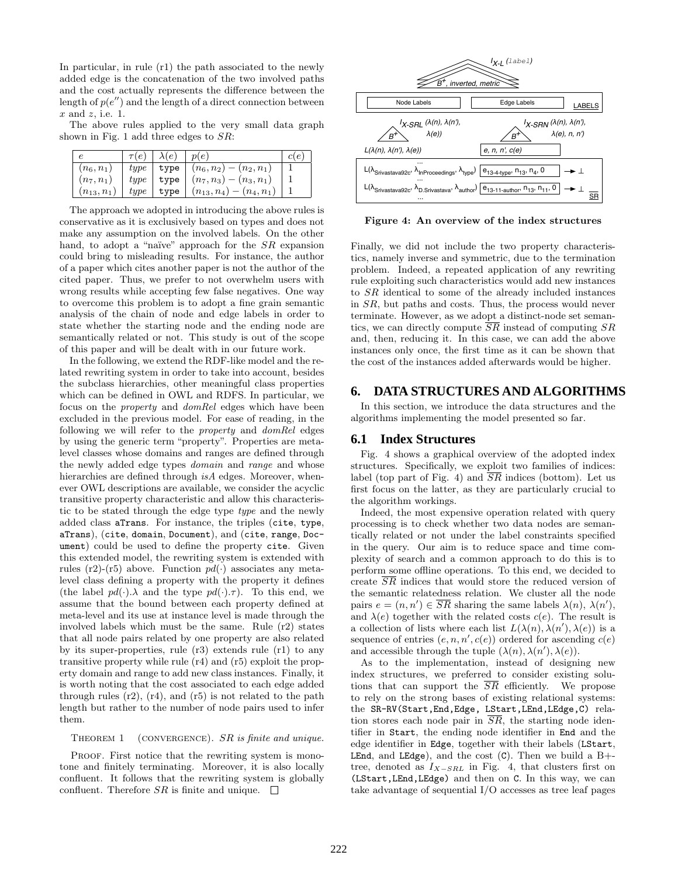In particular, in rule (r1) the path associated to the newly added edge is the concatenation of the two involved paths and the cost actually represents the difference between the length of  $p(e'')$  and the length of a direct connection between  $x$  and  $z$ , i.e. 1.

The above rules applied to the very small data graph shown in Fig. 1 add three edges to SR:

|               | $\tau(e)$ | $\lambda(e)$ | p(e)                            | $\epsilon$ |
|---------------|-----------|--------------|---------------------------------|------------|
| $n_6, n_1$    | type      | type         | $(n_6, n_2) -$<br>$(n_2, n_1)$  |            |
| $(n_7, n_1)$  | type      | type         | $(n_7,n_3)-(n_3,n_1)$           |            |
| $n_{13}, n_1$ | type      | type         | $(n_4, n_1)$<br>$(n_{13}, n_4)$ |            |

The approach we adopted in introducing the above rules is conservative as it is exclusively based on types and does not make any assumption on the involved labels. On the other hand, to adopt a "naïve" approach for the  $SR$  expansion could bring to misleading results. For instance, the author of a paper which cites another paper is not the author of the cited paper. Thus, we prefer to not overwhelm users with wrong results while accepting few false negatives. One way to overcome this problem is to adopt a fine grain semantic analysis of the chain of node and edge labels in order to state whether the starting node and the ending node are semantically related or not. This study is out of the scope of this paper and will be dealt with in our future work.

In the following, we extend the RDF-like model and the related rewriting system in order to take into account, besides the subclass hierarchies, other meaningful class properties which can be defined in OWL and RDFS. In particular, we focus on the *property* and *domRel* edges which have been excluded in the previous model. For ease of reading, in the following we will refer to the *property* and *domRel* edges by using the generic term "property". Properties are metalevel classes whose domains and ranges are defined through the newly added edge types *domain* and *range* and whose hierarchies are defined through *isA* edges. Moreover, whenever OWL descriptions are available, we consider the acyclic transitive property characteristic and allow this characteristic to be stated through the edge type *type* and the newly added class aTrans. For instance, the triples (cite, type, aTrans), (cite, domain, Document), and (cite, range, Document) could be used to define the property cite. Given this extended model, the rewriting system is extended with rules (r2)-(r5) above. Function  $pd(\cdot)$  associates any metalevel class defining a property with the property it defines (the label  $pd(\cdot) \lambda$  and the type  $pd(\cdot) \tau$ ). To this end, we assume that the bound between each property defined at meta-level and its use at instance level is made through the involved labels which must be the same. Rule (r2) states that all node pairs related by one property are also related by its super-properties, rule (r3) extends rule (r1) to any transitive property while rule (r4) and (r5) exploit the property domain and range to add new class instances. Finally, it is worth noting that the cost associated to each edge added through rules  $(r2)$ ,  $(r4)$ , and  $(r5)$  is not related to the path length but rather to the number of node pairs used to infer them.

THEOREM 1 (CONVERGENCE). SR is finite and unique.

PROOF. First notice that the rewriting system is monotone and finitely terminating. Moreover, it is also locally confluent. It follows that the rewriting system is globally confluent. Therefore  $SR$  is finite and unique.  $\square$ 



Figure 4: An overview of the index structures

Finally, we did not include the two property characteristics, namely inverse and symmetric, due to the termination problem. Indeed, a repeated application of any rewriting rule exploiting such characteristics would add new instances to SR identical to some of the already included instances in SR, but paths and costs. Thus, the process would never terminate. However, as we adopt a distinct-node set semantics, we can directly compute  $\overline{SR}$  instead of computing  $SR$ and, then, reducing it. In this case, we can add the above instances only once, the first time as it can be shown that the cost of the instances added afterwards would be higher.

#### **6. DATA STRUCTURES AND ALGORITHMS**

In this section, we introduce the data structures and the algorithms implementing the model presented so far.

#### **6.1 Index Structures**

Fig. 4 shows a graphical overview of the adopted index structures. Specifically, we exploit two families of indices: label (top part of Fig. 4) and  $\overline{SR}$  indices (bottom). Let us first focus on the latter, as they are particularly crucial to the algorithm workings.

Indeed, the most expensive operation related with query processing is to check whether two data nodes are semantically related or not under the label constraints specified in the query. Our aim is to reduce space and time complexity of search and a common approach to do this is to perform some offline operations. To this end, we decided to create  $\overline{SR}$  indices that would store the reduced version of the semantic relatedness relation. We cluster all the node pairs  $e = (n, n') \in \overline{SR}$  sharing the same labels  $\lambda(n)$ ,  $\lambda(n')$ , and  $\lambda(e)$  together with the related costs  $c(e)$ . The result is a collection of lists where each list  $L(\lambda(n), \lambda(n'), \lambda(e))$  is a sequence of entries  $(e, n, n', c(e))$  ordered for ascending  $c(e)$ and accessible through the tuple  $(\lambda(n), \lambda(n'), \lambda(e))$ .

As to the implementation, instead of designing new index structures, we preferred to consider existing solutions that can support the  $\overline{SR}$  efficiently. We propose to rely on the strong bases of existing relational systems: the SR-RV(Start,End,Edge, LStart,LEnd,LEdge,C) relation stores each node pair in SR, the starting node identifier in Start, the ending node identifier in End and the edge identifier in Edge, together with their labels (LStart, **LEnd**, and **LEdge**), and the cost  $(C)$ . Then we build a B+tree, denoted as  $I_{X-SRL}$  in Fig. 4, that clusters first on (LStart,LEnd,LEdge) and then on C. In this way, we can take advantage of sequential I/O accesses as tree leaf pages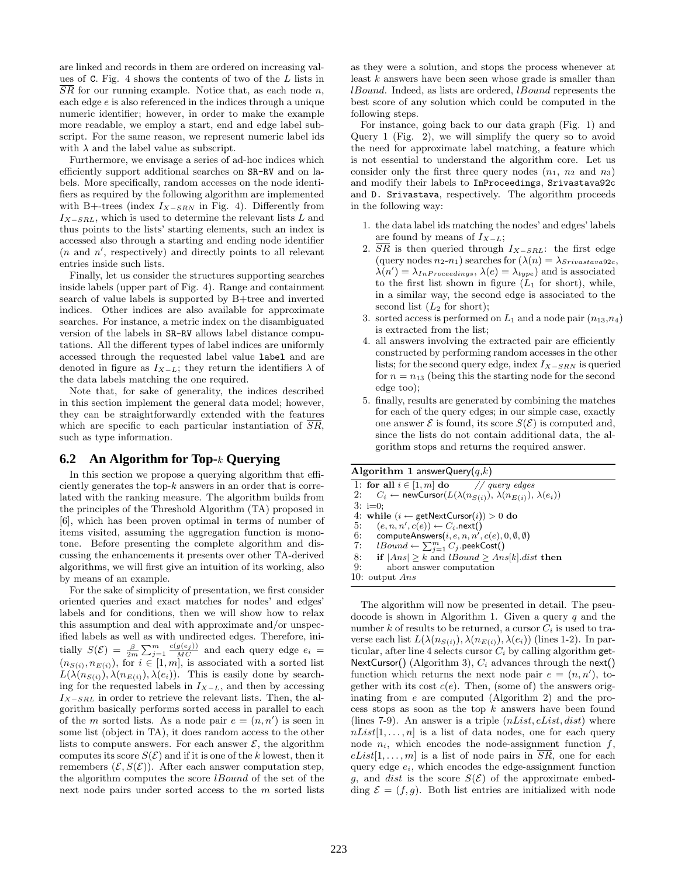are linked and records in them are ordered on increasing values of C. Fig. 4 shows the contents of two of the L lists in  $\overline{SR}$  for our running example. Notice that, as each node n, each edge e is also referenced in the indices through a unique numeric identifier; however, in order to make the example more readable, we employ a start, end and edge label subscript. For the same reason, we represent numeric label ids with  $\lambda$  and the label value as subscript.

Furthermore, we envisage a series of ad-hoc indices which efficiently support additional searches on SR-RV and on labels. More specifically, random accesses on the node identifiers as required by the following algorithm are implemented with B+-trees (index  $I_{X-SRN}$  in Fig. 4). Differently from  $I_{X-SRL}$ , which is used to determine the relevant lists L and thus points to the lists' starting elements, such an index is accessed also through a starting and ending node identifier  $(n \text{ and } n', \text{ respectively})$  and directly points to all relevant entries inside such lists.

Finally, let us consider the structures supporting searches inside labels (upper part of Fig. 4). Range and containment search of value labels is supported by B+tree and inverted indices. Other indices are also available for approximate searches. For instance, a metric index on the disambiguated version of the labels in SR-RV allows label distance computations. All the different types of label indices are uniformly accessed through the requested label value label and are denoted in figure as  $I_{X-L}$ ; they return the identifiers  $\lambda$  of the data labels matching the one required.

Note that, for sake of generality, the indices described in this section implement the general data model; however, they can be straightforwardly extended with the features which are specific to each particular instantiation of  $\overline{SR}$ , such as type information.

#### **6.2 An Algorithm for Top-**k **Querying**

In this section we propose a querying algorithm that efficiently generates the top- $k$  answers in an order that is correlated with the ranking measure. The algorithm builds from the principles of the Threshold Algorithm (TA) proposed in [6], which has been proven optimal in terms of number of items visited, assuming the aggregation function is monotone. Before presenting the complete algorithm and discussing the enhancements it presents over other TA-derived algorithms, we will first give an intuition of its working, also by means of an example.

For the sake of simplicity of presentation, we first consider oriented queries and exact matches for nodes' and edges' labels and for conditions, then we will show how to relax this assumption and deal with approximate and/or unspecified labels as well as with undirected edges. Therefore, initially  $S(\mathcal{E}) = \frac{\beta}{2m} \sum_{j=1}^{m} \frac{c(g(e_j))}{MC}$  and each query edge  $e_i =$  $(n_{S(i)}, n_{E(i)})$ , for  $i \in [1, m]$ , is associated with a sorted list  $L(\lambda(n_{S(i)}), \lambda(n_{E(i)}), \lambda(e_i))$ . This is easily done by searching for the requested labels in  $I_{X-L}$ , and then by accessing  $I_{X-SRL}$  in order to retrieve the relevant lists. Then, the algorithm basically performs sorted access in parallel to each of the *m* sorted lists. As a node pair  $e = (n, n')$  is seen in some list (object in TA), it does random access to the other lists to compute answers. For each answer  $\mathcal{E}$ , the algorithm computes its score  $S(\mathcal{E})$  and if it is one of the k lowest, then it remembers  $(\mathcal{E}, S(\mathcal{E}))$ . After each answer computation step, the algorithm computes the score lBound of the set of the next node pairs under sorted access to the m sorted lists

as they were a solution, and stops the process whenever at least k answers have been seen whose grade is smaller than lBound. Indeed, as lists are ordered, lBound represents the best score of any solution which could be computed in the following steps.

For instance, going back to our data graph (Fig. 1) and Query 1 (Fig. 2), we will simplify the query so to avoid the need for approximate label matching, a feature which is not essential to understand the algorithm core. Let us consider only the first three query nodes  $(n_1, n_2 \text{ and } n_3)$ and modify their labels to InProceedings, Srivastava92c and D. Srivastava, respectively. The algorithm proceeds in the following way:

- 1. the data label ids matching the nodes' and edges' labels are found by means of  $I_{X-L}$ ;
- 2.  $\overline{SR}$  is then queried through  $I_{X-SRL}$ : the first edge (query nodes  $n_2-n_1$ ) searches for  $(\lambda(n) = \lambda_{Sriivastava92c},$  $\lambda(n') = \lambda_{InProceedings}, \lambda(e) = \lambda_{type}$ ) and is associated to the first list shown in figure  $(L_1 \text{ for short}),$  while, in a similar way, the second edge is associated to the second list  $(L_2 \text{ for short});$
- 3. sorted access is performed on  $L_1$  and a node pair  $(n_{13},n_4)$ is extracted from the list;
- 4. all answers involving the extracted pair are efficiently constructed by performing random accesses in the other lists; for the second query edge, index  $I_{X-SRN}$  is queried for  $n = n_{13}$  (being this the starting node for the second edge too);
- 5. finally, results are generated by combining the matches for each of the query edges; in our simple case, exactly one answer  $\mathcal E$  is found, its score  $S(\mathcal E)$  is computed and, since the lists do not contain additional data, the algorithm stops and returns the required answer.

#### Algorithm 1 answerQuery $(q,k)$

1: for all  $i \in [1, m]$  do // query edges<br>2:  $C_i \leftarrow \text{newCursor}(L(\lambda(n_{S(i)}), \lambda(n_{F(i)})).$ 2:  $C_i \leftarrow \text{newCursor}(L(\lambda(n_{S(i)}), \lambda(n_{E(i)}), \lambda(e_i))$ 3: i=0; 4: while  $(i \leftarrow \text{getNextCursor}(i)) > 0$  do 5:  $(e, n, n', c(e)) \leftarrow C_i$ .next() 6: computeAnswers $(i, e, n, n', c(e), 0, \emptyset, \emptyset)$  $7: \quad \textit{lBound} \leftarrow \sum^m_{j=1} C_j \text{ .}$ peek $\textsf{Cost}()$ 8: if  $|Ans| > k$  and  $lBound > Ans[k].dist$  then 9: abort answer computation 10: output Ans The algorithm will now be presented in detail. The pseu-

docode is shown in Algorithm 1. Given a query  $q$  and the number k of results to be returned, a cursor  $C_i$  is used to traverse each list  $L(\lambda(n_{S(i)}), \lambda(n_{E(i)}), \lambda(e_i))$  (lines 1-2). In particular, after line 4 selects cursor  $C_i$  by calling algorithm get-NextCursor() (Algorithm 3),  $C_i$  advances through the next() function which returns the next node pair  $e = (n, n')$ , together with its cost  $c(e)$ . Then, (some of) the answers originating from e are computed (Algorithm 2) and the process stops as soon as the top  $k$  answers have been found (lines 7-9). An answer is a triple  $(nList, elist, dist)$  where  $nList[1,\ldots,n]$  is a list of data nodes, one for each query node  $n_i$ , which encodes the node-assignment function f,  $eList[1,\ldots,m]$  is a list of node pairs in SR, one for each query edge  $e_i$ , which encodes the edge-assignment function g, and *dist* is the score  $S(\mathcal{E})$  of the approximate embedding  $\mathcal{E} = (f, g)$ . Both list entries are initialized with node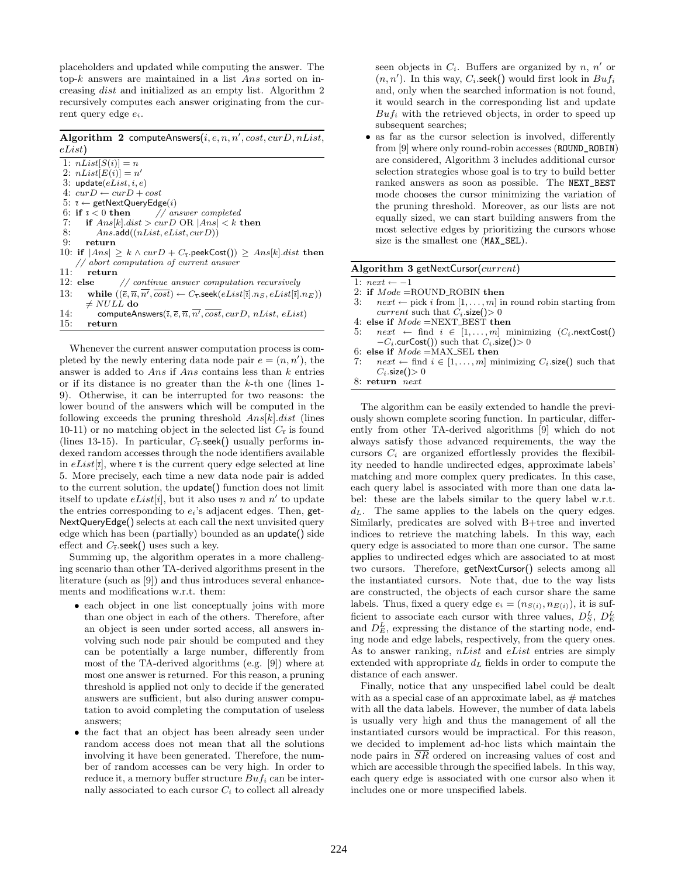placeholders and updated while computing the answer. The top-k answers are maintained in a list Ans sorted on increasing dist and initialized as an empty list. Algorithm 2 recursively computes each answer originating from the current query edge  $e_i$ .

Algorithm 2 computeAnswers $(i, e, n, n', cost, curD, nList,$ eList)

1:  $nList[S(i)] = n$ 2:  $nList[E(i)] = n'$ 3: update $(eList, i, e)$ 4:  $curD \leftarrow curD + cost$ 5:  $\bar{i} \leftarrow$  getNextQueryEdge(*i*)<br>6: if  $\bar{i} < 0$  then // an 6: if  $\bar{i} < 0$  then *// answer completed*<br>7. if  $Ansk$  *dist* > *curD* OB |*Ans*| < k 1 7: if  $Ans[k].dist > \text{curl } OR \mid Ans] < k$  then<br>8: Ans.add((nList, eList, curD)) 8:  $Ans. \text{add}((nList, elist, curD))$ <br>9. return return 10: if  $|Ans| \ge k \wedge curD + C_{\bar{i}}$ .peekCost())  $\ge Ans[k].dist$  then *// abort computation of current answer*  $\frac{11}{12}$ : else 12: else *// continue answer computation recursively* 13: while  $((\overline{e}, \overline{n}, \overline{n'}, \overline{cost}) \leftarrow C_{\overline{i}}.\mathsf{seek}(eList[\overline{i}].n_S, eList[\overline{i}].n_E))$  $\neq NULL$  do 14: computeAnswers $(\overline{\imath}, \overline{e}, \overline{n}, \overline{n'}, \overline{cost}, \overline{curD}, \overline{nList}, \overline{elist})$ 15: return

Whenever the current answer computation process is completed by the newly entering data node pair  $e = (n, n')$ , the answer is added to Ans if Ans contains less than  $k$  entries or if its distance is no greater than the k-th one (lines 1- 9). Otherwise, it can be interrupted for two reasons: the lower bound of the answers which will be computed in the following exceeds the pruning threshold  $Ans[k].dist$  (lines 10-11) or no matching object in the selected list  $C_{\bar{i}}$  is found (lines 13-15). In particular,  $C_{\bar{i}}$  seek() usually performs indexed random accesses through the node identifiers available in  $eList[\overline{\imath}]$ , where  $\overline{\imath}$  is the current query edge selected at line 5. More precisely, each time a new data node pair is added to the current solution, the update() function does not limit itself to update  $eList[i]$ , but it also uses n and n' to update the entries corresponding to  $e_i$ 's adjacent edges. Then, get-NextQueryEdge() selects at each call the next unvisited query edge which has been (partially) bounded as an update() side effect and  $C_{\bar{i}}$  seek() uses such a key.

Summing up, the algorithm operates in a more challenging scenario than other TA-derived algorithms present in the literature (such as [9]) and thus introduces several enhancements and modifications w.r.t. them:

- each object in one list conceptually joins with more than one object in each of the others. Therefore, after an object is seen under sorted access, all answers involving such node pair should be computed and they can be potentially a large number, differently from most of the TA-derived algorithms (e.g. [9]) where at most one answer is returned. For this reason, a pruning threshold is applied not only to decide if the generated answers are sufficient, but also during answer computation to avoid completing the computation of useless answers;
- the fact that an object has been already seen under random access does not mean that all the solutions involving it have been generated. Therefore, the number of random accesses can be very high. In order to reduce it, a memory buffer structure  $But_i$  can be internally associated to each cursor  $C_i$  to collect all already

seen objects in  $C_i$ . Buffers are organized by  $n, n'$  or  $(n, n')$ . In this way,  $C_i$  seek() would first look in  $Butf_i$ and, only when the searched information is not found, it would search in the corresponding list and update  $But f_i$  with the retrieved objects, in order to speed up subsequent searches;

• as far as the cursor selection is involved, differently from [9] where only round-robin accesses (ROUND\_ROBIN) are considered, Algorithm 3 includes additional cursor selection strategies whose goal is to try to build better ranked answers as soon as possible. The NEXT\_BEST mode chooses the cursor minimizing the variation of the pruning threshold. Moreover, as our lists are not equally sized, we can start building answers from the most selective edges by prioritizing the cursors whose size is the smallest one (MAX\_SEL).

#### Algorithm 3 getNextCursor(current)

1:  $next \leftarrow -1$ 

- 2: if  $Mode = \text{ROUND\_ROBIN}$  then<br>3:  $next \leftarrow \text{pick } i \text{ from } [1, \ldots, m]$  in
- $next \leftarrow$  pick i from  $[1, \ldots, m]$  in round robin starting from current such that  $C_i$  size() > 0
- 4: else if  $Mode = NEXT\_BEST$  then
- 5:  $next \leftarrow find \quad i \in [1, \ldots, m]$  minimizing  $(C_i.\text{nextCost})$  $-C_i$ .curCost()) such that  $C_i$ .size()> 0
- 6: else if  $Mode = MAX\_SEL$  then
- $next \leftarrow$  find  $i \in [1, \ldots, m]$  minimizing  $C_i$  size() such that  $C_i$ .size() $> 0$

8: return next

The algorithm can be easily extended to handle the previously shown complete scoring function. In particular, differently from other TA-derived algorithms [9] which do not always satisfy those advanced requirements, the way the cursors  $C_i$  are organized effortlessly provides the flexibility needed to handle undirected edges, approximate labels' matching and more complex query predicates. In this case, each query label is associated with more than one data label: these are the labels similar to the query label w.r.t.  $d<sub>L</sub>$ . The same applies to the labels on the query edges. Similarly, predicates are solved with B+tree and inverted indices to retrieve the matching labels. In this way, each query edge is associated to more than one cursor. The same applies to undirected edges which are associated to at most two cursors. Therefore, getNextCursor() selects among all the instantiated cursors. Note that, due to the way lists are constructed, the objects of each cursor share the same labels. Thus, fixed a query edge  $e_i = (n_{S(i)}, n_{E(i)})$ , it is sufficient to associate each cursor with three values,  $D_S^L$ ,  $D_E^L$ and  $D_E^L$ , expressing the distance of the starting node, ending node and edge labels, respectively, from the query ones. As to answer ranking, nList and eList entries are simply extended with appropriate  $d<sub>L</sub>$  fields in order to compute the distance of each answer.

Finally, notice that any unspecified label could be dealt with as a special case of an approximate label, as  $\#$  matches with all the data labels. However, the number of data labels is usually very high and thus the management of all the instantiated cursors would be impractical. For this reason, we decided to implement ad-hoc lists which maintain the node pairs in SR ordered on increasing values of cost and which are accessible through the specified labels. In this way, each query edge is associated with one cursor also when it includes one or more unspecified labels.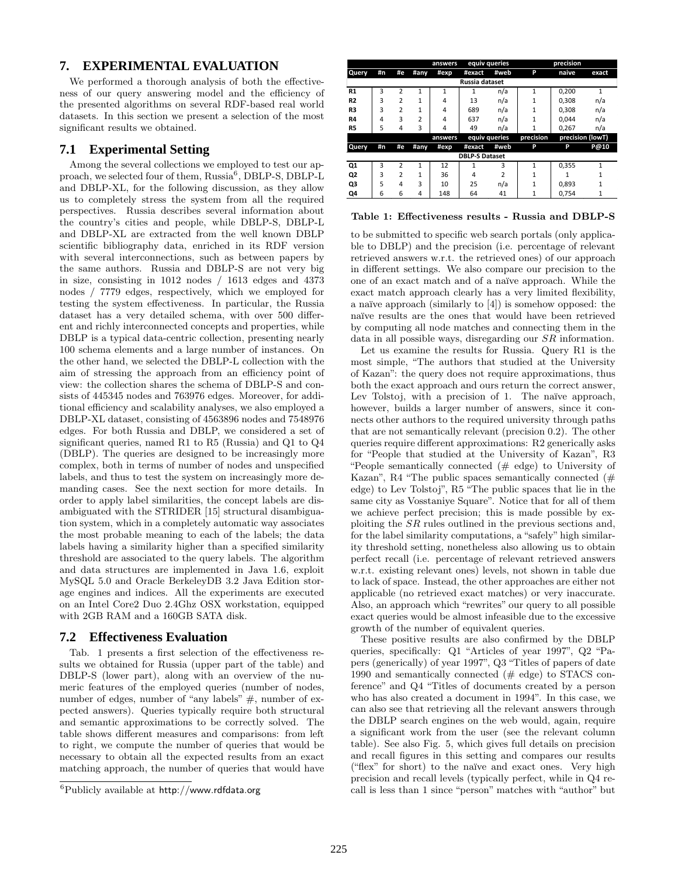# **7. EXPERIMENTAL EVALUATION**

We performed a thorough analysis of both the effectiveness of our query answering model and the efficiency of the presented algorithms on several RDF-based real world datasets. In this section we present a selection of the most significant results we obtained.

# **7.1 Experimental Setting**

Among the several collections we employed to test our approach, we selected four of them, Russia<sup>6</sup>, DBLP-S, DBLP-L and DBLP-XL, for the following discussion, as they allow us to completely stress the system from all the required perspectives. Russia describes several information about the country's cities and people, while DBLP-S, DBLP-L and DBLP-XL are extracted from the well known DBLP scientific bibliography data, enriched in its RDF version with several interconnections, such as between papers by the same authors. Russia and DBLP-S are not very big in size, consisting in 1012 nodes / 1613 edges and 4373 nodes / 7779 edges, respectively, which we employed for testing the system effectiveness. In particular, the Russia dataset has a very detailed schema, with over 500 different and richly interconnected concepts and properties, while DBLP is a typical data-centric collection, presenting nearly 100 schema elements and a large number of instances. On the other hand, we selected the DBLP-L collection with the aim of stressing the approach from an efficiency point of view: the collection shares the schema of DBLP-S and consists of 445345 nodes and 763976 edges. Moreover, for additional efficiency and scalability analyses, we also employed a DBLP-XL dataset, consisting of 4563896 nodes and 7548976 edges. For both Russia and DBLP, we considered a set of significant queries, named R1 to R5 (Russia) and Q1 to Q4 (DBLP). The queries are designed to be increasingly more complex, both in terms of number of nodes and unspecified labels, and thus to test the system on increasingly more demanding cases. See the next section for more details. In order to apply label similarities, the concept labels are disambiguated with the STRIDER [15] structural disambiguation system, which in a completely automatic way associates the most probable meaning to each of the labels; the data labels having a similarity higher than a specified similarity threshold are associated to the query labels. The algorithm and data structures are implemented in Java 1.6, exploit MySQL 5.0 and Oracle BerkeleyDB 3.2 Java Edition storage engines and indices. All the experiments are executed on an Intel Core2 Duo 2.4Ghz OSX workstation, equipped with 2GB RAM and a 160GB SATA disk.

#### **7.2 Effectiveness Evaluation**

Tab. 1 presents a first selection of the effectiveness results we obtained for Russia (upper part of the table) and DBLP-S (lower part), along with an overview of the numeric features of the employed queries (number of nodes, number of edges, number of "any labels" #, number of expected answers). Queries typically require both structural and semantic approximations to be correctly solved. The table shows different measures and comparisons: from left to right, we compute the number of queries that would be necessary to obtain all the expected results from an exact matching approach, the number of queries that would have

|                       |    |                |                | answers | equiv queries |                | precision |                  |              |  |
|-----------------------|----|----------------|----------------|---------|---------------|----------------|-----------|------------------|--------------|--|
| Query                 | #n | #e             | #any           | #exp    | #exact        | #web           | P         | naive            | exact        |  |
| Russia dataset        |    |                |                |         |               |                |           |                  |              |  |
| R1                    | 3  | $\overline{2}$ | 1              | 1       |               | n/a            | 1         | 0.200            | 1            |  |
| R <sub>2</sub>        | 3  | $\overline{2}$ | 1              | 4       | 13            | n/a            | 1         | 0.308            | n/a          |  |
| R3                    | 3  | $\overline{2}$ | 1              | 4       | 689           | n/a            | 1         | 0.308            | n/a          |  |
| R4                    | 4  | 3              | $\overline{2}$ | 4       | 637           | n/a            | 1         | 0.044            | n/a          |  |
| R5                    | 5  | 4              | 3              | 4       | 49            | n/a            |           | 0.267            | n/a          |  |
|                       |    |                |                | answers | equiv queries |                | precision | precision (lowT) |              |  |
| Query                 | #n | #e             | #any           | #exp    | #exact        | #web           | P         | P                | P@10         |  |
| <b>DBLP-S Dataset</b> |    |                |                |         |               |                |           |                  |              |  |
| Q1                    | 3  | $\overline{2}$ | 1              | 12      |               | 3              |           | 0.355            | $\mathbf{1}$ |  |
| Q2                    | 3  | $\overline{2}$ | 1              | 36      | 4             | $\overline{2}$ | 1         | 1                |              |  |
| Q3                    | 5  | 4              | 3              | 10      | 25            | n/a            | 1         | 0.893            | $\mathbf{1}$ |  |
| Q4                    | 6  | 6              | 4              | 148     | 64            | 41             | 1         | 0.754            |              |  |

#### Table 1: Effectiveness results - Russia and DBLP-S

to be submitted to specific web search portals (only applicable to DBLP) and the precision (i.e. percentage of relevant retrieved answers w.r.t. the retrieved ones) of our approach in different settings. We also compare our precision to the one of an exact match and of a na¨ıve approach. While the exact match approach clearly has a very limited flexibility, a naïve approach (similarly to  $[4]$ ) is somehow opposed: the na¨ıve results are the ones that would have been retrieved by computing all node matches and connecting them in the data in all possible ways, disregarding our SR information.

Let us examine the results for Russia. Query R1 is the most simple, "The authors that studied at the University of Kazan": the query does not require approximations, thus both the exact approach and ours return the correct answer, Lev Tolstoj, with a precision of 1. The naïve approach, however, builds a larger number of answers, since it connects other authors to the required university through paths that are not semantically relevant (precision 0.2). The other queries require different approximations: R2 generically asks for "People that studied at the University of Kazan", R3 "People semantically connected (# edge) to University of Kazan", R4 "The public spaces semantically connected (# edge) to Lev Tolstoj", R5 "The public spaces that lie in the same city as Vosstaniye Square". Notice that for all of them we achieve perfect precision; this is made possible by exploiting the SR rules outlined in the previous sections and, for the label similarity computations, a "safely" high similarity threshold setting, nonetheless also allowing us to obtain perfect recall (i.e. percentage of relevant retrieved answers w.r.t. existing relevant ones) levels, not shown in table due to lack of space. Instead, the other approaches are either not applicable (no retrieved exact matches) or very inaccurate. Also, an approach which "rewrites" our query to all possible exact queries would be almost infeasible due to the excessive growth of the number of equivalent queries.

These positive results are also confirmed by the DBLP queries, specifically: Q1 "Articles of year 1997", Q2 "Papers (generically) of year 1997", Q3 "Titles of papers of date 1990 and semantically connected (# edge) to STACS conference" and Q4 "Titles of documents created by a person who has also created a document in 1994". In this case, we can also see that retrieving all the relevant answers through the DBLP search engines on the web would, again, require a significant work from the user (see the relevant column table). See also Fig. 5, which gives full details on precision and recall figures in this setting and compares our results ("flex" for short) to the na¨ıve and exact ones. Very high precision and recall levels (typically perfect, while in Q4 recall is less than 1 since "person" matches with "author" but

<sup>6</sup>Publicly available at http://www.rdfdata.org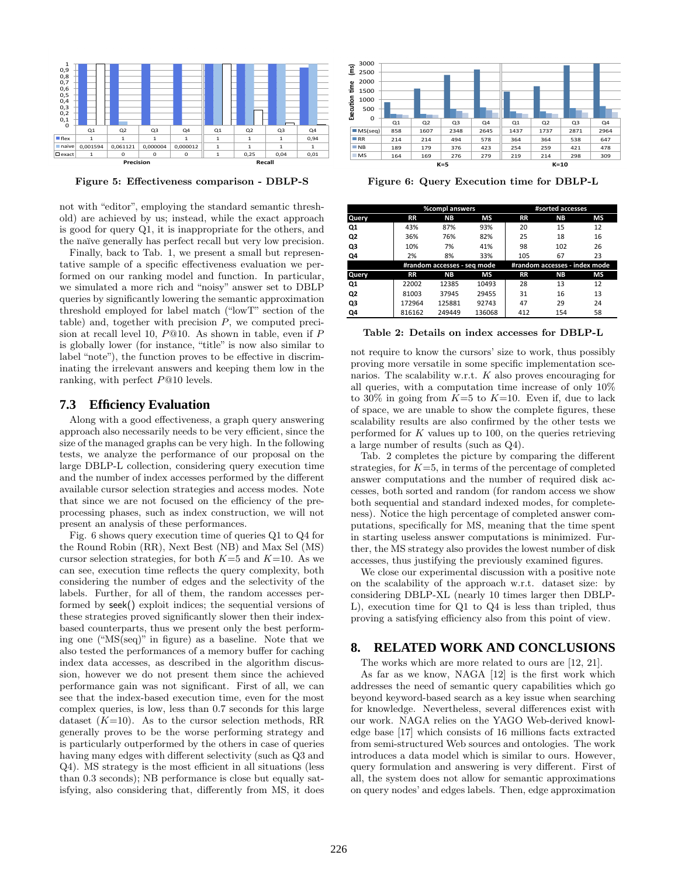

Figure 5: Effectiveness comparison - DBLP-S

not with "editor", employing the standard semantic threshold) are achieved by us; instead, while the exact approach is good for query Q1, it is inappropriate for the others, and the naïve generally has perfect recall but very low precision.

Finally, back to Tab. 1, we present a small but representative sample of a specific effectiveness evaluation we performed on our ranking model and function. In particular, we simulated a more rich and "noisy" answer set to DBLP queries by significantly lowering the semantic approximation threshold employed for label match ("lowT" section of the table) and, together with precision  $P$ , we computed precision at recall level 10,  $P@10$ . As shown in table, even if  $P$ is globally lower (for instance, "title" is now also similar to label "note"), the function proves to be effective in discriminating the irrelevant answers and keeping them low in the ranking, with perfect P@10 levels.

#### **7.3 Efficiency Evaluation**

Along with a good effectiveness, a graph query answering approach also necessarily needs to be very efficient, since the size of the managed graphs can be very high. In the following tests, we analyze the performance of our proposal on the large DBLP-L collection, considering query execution time and the number of index accesses performed by the different available cursor selection strategies and access modes. Note that since we are not focused on the efficiency of the preprocessing phases, such as index construction, we will not present an analysis of these performances.

Fig. 6 shows query execution time of queries Q1 to Q4 for the Round Robin (RR), Next Best (NB) and Max Sel (MS) cursor selection strategies, for both  $K=5$  and  $K=10$ . As we can see, execution time reflects the query complexity, both considering the number of edges and the selectivity of the labels. Further, for all of them, the random accesses performed by seek() exploit indices; the sequential versions of these strategies proved significantly slower then their indexbased counterparts, thus we present only the best performing one ("MS(seq)" in figure) as a baseline. Note that we also tested the performances of a memory buffer for caching index data accesses, as described in the algorithm discussion, however we do not present them since the achieved performance gain was not significant. First of all, we can see that the index-based execution time, even for the most complex queries, is low, less than 0.7 seconds for this large dataset  $(K=10)$ . As to the cursor selection methods, RR generally proves to be the worse performing strategy and is particularly outperformed by the others in case of queries having many edges with different selectivity (such as Q3 and Q4). MS strategy is the most efficient in all situations (less than 0.3 seconds); NB performance is close but equally satisfying, also considering that, differently from MS, it does



Figure 6: Query Execution time for DBLP-L

|                |           | <b>%compl answers</b>       |        | #sorted accesses              |           |    |  |
|----------------|-----------|-----------------------------|--------|-------------------------------|-----------|----|--|
| Query          | <b>RR</b> | NΒ                          | МS     | <b>RR</b>                     | <b>NB</b> | МS |  |
| Q1             | 43%       | 87%                         | 93%    | 20                            | 15        | 12 |  |
| Q2             | 36%       | 76%                         | 82%    | 25                            | 18        | 16 |  |
| Q3             | 10%       | 7%                          | 41%    | 98                            | 102       | 26 |  |
| Q4             | 2%        | 8%                          | 33%    | 105                           | 67        | 23 |  |
|                |           | #random accesses - seg mode |        | #random accesses - index mode |           |    |  |
| Query          | <b>RR</b> | NΒ                          | МS     | <b>RR</b>                     | ΝB        | МS |  |
| Q1             | 22002     | 12385                       | 10493  | 28                            | 13        | 12 |  |
| Q <sub>2</sub> | 81003     | 37945                       | 29455  | 31                            | 16        | 13 |  |
| Q3             | 172964    | 125881                      | 92743  | 47                            | 29        | 24 |  |
| Q4             | 816162    | 249449                      | 136068 | 412                           | 154       | 58 |  |

Table 2: Details on index accesses for DBLP-L

not require to know the cursors' size to work, thus possibly proving more versatile in some specific implementation scenarios. The scalability w.r.t.  $K$  also proves encouraging for all queries, with a computation time increase of only 10% to 30% in going from  $K=5$  to  $K=10$ . Even if, due to lack of space, we are unable to show the complete figures, these scalability results are also confirmed by the other tests we performed for  $K$  values up to 100, on the queries retrieving a large number of results (such as Q4).

Tab. 2 completes the picture by comparing the different strategies, for  $K=5$ , in terms of the percentage of completed answer computations and the number of required disk accesses, both sorted and random (for random access we show both sequential and standard indexed modes, for completeness). Notice the high percentage of completed answer computations, specifically for MS, meaning that the time spent in starting useless answer computations is minimized. Further, the MS strategy also provides the lowest number of disk accesses, thus justifying the previously examined figures.

We close our experimental discussion with a positive note on the scalability of the approach w.r.t. dataset size: by considering DBLP-XL (nearly 10 times larger then DBLP-L), execution time for Q1 to Q4 is less than tripled, thus proving a satisfying efficiency also from this point of view.

#### **8. RELATED WORK AND CONCLUSIONS**

The works which are more related to ours are [12, 21].

As far as we know, NAGA [12] is the first work which addresses the need of semantic query capabilities which go beyond keyword-based search as a key issue when searching for knowledge. Nevertheless, several differences exist with our work. NAGA relies on the YAGO Web-derived knowledge base [17] which consists of 16 millions facts extracted from semi-structured Web sources and ontologies. The work introduces a data model which is similar to ours. However, query formulation and answering is very different. First of all, the system does not allow for semantic approximations on query nodes' and edges labels. Then, edge approximation